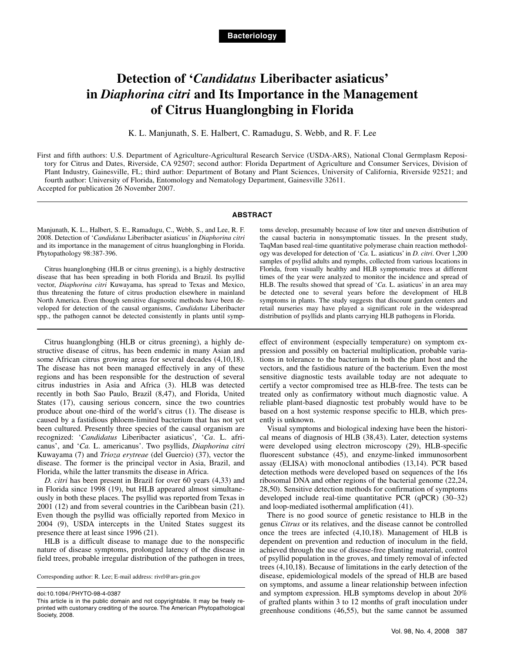# **Detection of '***Candidatus* **Liberibacter asiaticus' in** *Diaphorina citri* **and Its Importance in the Management of Citrus Huanglongbing in Florida**

K. L. Manjunath, S. E. Halbert, C. Ramadugu, S. Webb, and R. F. Lee

First and fifth authors: U.S. Department of Agriculture-Agricultural Research Service (USDA-ARS), National Clonal Germplasm Repository for Citrus and Dates, Riverside, CA 92507; second author: Florida Department of Agriculture and Consumer Services, Division of Plant Industry, Gainesville, FL; third author: Department of Botany and Plant Sciences, University of California, Riverside 92521; and fourth author: University of Florida, Entomology and Nematology Department, Gainesville 32611. Accepted for publication 26 November 2007.

#### **ABSTRACT**

Manjunath, K. L., Halbert, S. E., Ramadugu, C., Webb, S., and Lee, R. F. 2008. Detection of '*Candidatus* Liberibacter asiaticus' in *Diaphorina citri* and its importance in the management of citrus huanglongbing in Florida. Phytopathology 98:387-396.

Citrus huanglongbing (HLB or citrus greening), is a highly destructive disease that has been spreading in both Florida and Brazil. Its psyllid vector, *Diaphorina citri* Kuwayama, has spread to Texas and Mexico, thus threatening the future of citrus production elsewhere in mainland North America. Even though sensitive diagnostic methods have been developed for detection of the causal organisms, *Candidatus* Liberibacter spp., the pathogen cannot be detected consistently in plants until symp-

Citrus huanglongbing (HLB or citrus greening), a highly destructive disease of citrus, has been endemic in many Asian and some African citrus growing areas for several decades (4,10,18). The disease has not been managed effectively in any of these regions and has been responsible for the destruction of several citrus industries in Asia and Africa (3). HLB was detected recently in both Sao Paulo, Brazil (8,47), and Florida, United States (17), causing serious concern, since the two countries produce about one-third of the world's citrus (1). The disease is caused by a fastidious phloem-limited bacterium that has not yet been cultured. Presently three species of the causal organism are recognized: '*Candidatus* Liberibacter asiaticus', '*Ca*. L. africanus', and '*Ca.* L. americanus'. Two psyllids, *Diaphorina citri* Kuwayama (7) and *Trioza erytreae* (del Guercio) (37), vector the disease. The former is the principal vector in Asia, Brazil, and Florida, while the latter transmits the disease in Africa.

*D. citri* has been present in Brazil for over 60 years (4,33) and in Florida since 1998 (19), but HLB appeared almost simultaneously in both these places. The psyllid was reported from Texas in 2001 (12) and from several countries in the Caribbean basin (21). Even though the psyllid was officially reported from Mexico in 2004 (9), USDA intercepts in the United States suggest its presence there at least since 1996 (21).

HLB is a difficult disease to manage due to the nonspecific nature of disease symptoms, prolonged latency of the disease in field trees, probable irregular distribution of the pathogen in trees,

Corresponding author: R. Lee; E-mail address: rivrl@ars-grin.gov

doi:10.1094/ PHYTO-98-4-0387

toms develop, presumably because of low titer and uneven distribution of the causal bacteria in nonsymptomatic tissues. In the present study, TaqMan based real-time quantitative polymerase chain reaction methodology was developed for detection of '*Ca.* L. asiaticus' in *D. citri*. Over 1,200 samples of psyllid adults and nymphs, collected from various locations in Florida, from visually healthy and HLB symptomatic trees at different times of the year were analyzed to monitor the incidence and spread of HLB. The results showed that spread of '*Ca.* L. asiaticus' in an area may be detected one to several years before the development of HLB symptoms in plants. The study suggests that discount garden centers and retail nurseries may have played a significant role in the widespread distribution of psyllids and plants carrying HLB pathogens in Florida.

effect of environment (especially temperature) on symptom expression and possibly on bacterial multiplication, probable variations in tolerance to the bacterium in both the plant host and the vectors, and the fastidious nature of the bacterium. Even the most sensitive diagnostic tests available today are not adequate to certify a vector compromised tree as HLB-free. The tests can be treated only as confirmatory without much diagnostic value. A reliable plant-based diagnostic test probably would have to be based on a host systemic response specific to HLB, which presently is unknown.

Visual symptoms and biological indexing have been the historical means of diagnosis of HLB (38,43). Later, detection systems were developed using electron microscopy (29), HLB-specific fluorescent substance (45), and enzyme-linked immunosorbent assay (ELISA) with monoclonal antibodies (13,14). PCR based detection methods were developed based on sequences of the 16s ribosomal DNA and other regions of the bacterial genome (22,24, 28,50). Sensitive detection methods for confirmation of symptoms developed include real-time quantitative PCR (qPCR) (30–32) and loop-mediated isothermal amplification (41).

There is no good source of genetic resistance to HLB in the genus *Citrus* or its relatives, and the disease cannot be controlled once the trees are infected (4,10,18). Management of HLB is dependent on prevention and reduction of inoculum in the field, achieved through the use of disease-free planting material, control of psyllid population in the groves, and timely removal of infected trees (4,10,18). Because of limitations in the early detection of the disease, epidemiological models of the spread of HLB are based on symptoms, and assume a linear relationship between infection and symptom expression. HLB symptoms develop in about 20% of grafted plants within 3 to 12 months of graft inoculation under greenhouse conditions (46,55), but the same cannot be assumed

This article is in the public domain and not copyrightable. It may be freely reprinted with customary crediting of the source. The American Phytopathological Society, 2008.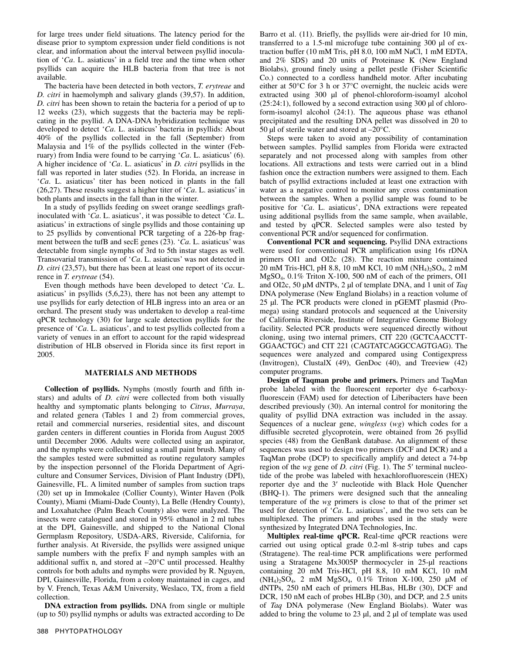for large trees under field situations. The latency period for the disease prior to symptom expression under field conditions is not clear, and information about the interval between psyllid inoculation of '*Ca*. L. asiaticus' in a field tree and the time when other psyllids can acquire the HLB bacteria from that tree is not available.

The bacteria have been detected in both vectors, *T. erytreae* and *D. citri* in haemolymph and salivary glands (39,57). In addition, *D. citri* has been shown to retain the bacteria for a period of up to 12 weeks (23), which suggests that the bacteria may be replicating in the psyllid. A DNA-DNA hybridization technique was developed to detect '*Ca*. L. asiaticus' bacteria in psyllids: About 40% of the psyllids collected in the fall (September) from Malaysia and 1% of the psyllids collected in the winter (February) from India were found to be carrying '*Ca*. L. asiaticus' (6). A higher incidence of '*Ca*. L. asiaticus' in *D. citri* psyllids in the fall was reported in later studies (52). In Florida, an increase in '*Ca*. L. asiaticus' titer has been noticed in plants in the fall (26,27). These results suggest a higher titer of '*Ca*. L. asiaticus' in both plants and insects in the fall than in the winter.

In a study of psyllids feeding on sweet orange seedlings graftinoculated with '*Ca*. L. asiaticus', it was possible to detect '*Ca*. L. asiaticus' in extractions of single psyllids and those containing up to 25 psyllids by conventional PCR targeting of a 226-bp fragment between the tufB and secE genes (23). '*Ca*. L. asiaticus' was detectable from single nymphs of 3rd to 5th instar stages as well. Transovarial transmission of '*Ca*. L. asiaticus' was not detected in *D. citri* (23,57), but there has been at least one report of its occurrence in *T. erytreae* (54).

Even though methods have been developed to detect '*Ca*. L. asiaticus' in psyllids (5,6,23), there has not been any attempt to use psyllids for early detection of HLB ingress into an area or an orchard. The present study was undertaken to develop a real-time qPCR technology (30) for large scale detection psyllids for the presence of '*Ca*. L. asiaticus', and to test psyllids collected from a variety of venues in an effort to account for the rapid widespread distribution of HLB observed in Florida since its first report in 2005.

## **MATERIALS AND METHODS**

**Collection of psyllids.** Nymphs (mostly fourth and fifth instars) and adults of *D. citri* were collected from both visually healthy and symptomatic plants belonging to *Citrus*, *Murraya*, and related genera (Tables 1 and 2) from commercial groves, retail and commercial nurseries, residential sites, and discount garden centers in different counties in Florida from August 2005 until December 2006. Adults were collected using an aspirator, and the nymphs were collected using a small paint brush. Many of the samples tested were submitted as routine regulatory samples by the inspection personnel of the Florida Department of Agriculture and Consumer Services, Division of Plant Industry (DPI), Gainesville, FL. A limited number of samples from suction traps (20) set up in Immokalee (Collier County), Winter Haven (Polk County), Miami (Miami-Dade County), La Belle (Hendry County), and Loxahatchee (Palm Beach County) also were analyzed. The insects were catalogued and stored in 95% ethanol in 2 ml tubes at the DPI, Gainesville, and shipped to the National Clonal Germplasm Repository, USDA-ARS, Riverside, California, for further analysis. At Riverside, the psyllids were assigned unique sample numbers with the prefix F and nymph samples with an additional suffix n, and stored at –20°C until processed. Healthy controls for both adults and nymphs were provided by R. Nguyen, DPI, Gainesville, Florida, from a colony maintained in cages, and by V. French, Texas A&M University, Weslaco, TX, from a field collection.

**DNA extraction from psyllids.** DNA from single or multiple (up to 50) psyllid nymphs or adults was extracted according to De

388 PHYTOPATHOLOGY

Barro et al. (11). Briefly, the psyllids were air-dried for 10 min, transferred to a 1.5-ml microfuge tube containing 300 μl of extraction buffer (10 mM Tris, pH 8.0, 100 mM NaCl, 1 mM EDTA, and 2% SDS) and 20 units of Proteinase K (New England Biolabs), ground finely using a pellet pestle (Fisher Scientific Co.) connected to a cordless handheld motor. After incubating either at 50°C for 3 h or 37°C overnight, the nucleic acids were extracted using 300 μl of phenol-chloroform-isoamyl alcohol (25:24:1), followed by a second extraction using 300 μl of chloroform-isoamyl alcohol (24:1). The aqueous phase was ethanol precipitated and the resulting DNA pellet was dissolved in 20 to 50 μl of sterile water and stored at  $-20^{\circ}$ C.

Steps were taken to avoid any possibility of contamination between samples. Psyllid samples from Florida were extracted separately and not processed along with samples from other locations. All extractions and tests were carried out in a blind fashion once the extraction numbers were assigned to them. Each batch of psyllid extractions included at least one extraction with water as a negative control to monitor any cross contamination between the samples. When a psyllid sample was found to be positive for '*Ca*. L. asiaticus', DNA extractions were repeated using additional psyllids from the same sample, when available, and tested by qPCR. Selected samples were also tested by conventional PCR and/or sequenced for confirmation.

**Conventional PCR and sequencing.** Psyllid DNA extractions were used for conventional PCR amplification using 16s rDNA primers OI1 and OI2c (28). The reaction mixture contained 20 mM Tris-HCl, pH 8.8, 10 mM KCl, 10 mM (NH4)2SO4, 2 mM MgSO4, 0.1% Triton X-100, 500 nM of each of the primers, OI1 and OI2c, 50 μM dNTPs, 2 μl of template DNA, and 1 unit of *Taq* DNA polymerase (New England Biolabs) in a reaction volume of 25 μl. The PCR products were cloned in pGEMT plasmid (Promega) using standard protocols and sequenced at the University of California Riverside, Institute of Integrative Genome Biology facility. Selected PCR products were sequenced directly without cloning, using two internal primers, CIT 220 (GCTCAACCTT-GGAACTGC) and CIT 221 (CAGTATCAGGCCAGTGAG). The sequences were analyzed and compared using Contigexpress (Invitrogen), ClustalX (49), GenDoc (40), and Treeview (42) computer programs.

**Design of Taqman probe and primers.** Primers and TaqMan probe labeled with the fluorescent reporter dye 6-carboxyfluorescein (FAM) used for detection of Liberibacters have been described previously (30). An internal control for monitoring the quality of psyllid DNA extraction was included in the assay. Sequences of a nuclear gene, *wingless* (*wg*) which codes for a diffusible secreted glycoprotein, were obtained from 26 psyllid species (48) from the GenBank database. An alignment of these sequences was used to design two primers (DCF and DCR) and a TaqMan probe (DCP) to specifically amplify and detect a 74-bp region of the  $wg$  gene of  $\overrightarrow{D}$ . *citri* (Fig. 1). The 5' terminal nucleotide of the probe was labeled with hexachlorofluorescein (HEX) reporter dye and the 3' nucleotide with Black Hole Quencher (BHQ-1). The primers were designed such that the annealing temperature of the *wg* primers is close to that of the primer set used for detection of '*Ca*. L. asiaticus', and the two sets can be multiplexed. The primers and probes used in the study were synthesized by Integrated DNA Technologies, Inc.

**Multiplex real-time qPCR.** Real-time qPCR reactions were carried out using optical grade 0.2-ml 8-strip tubes and caps (Stratagene). The real-time PCR amplifications were performed using a Stratagene Mx3005P thermocycler in 25-μl reactions containing 20 mM Tris-HCl, pH 8.8, 10 mM KCl, 10 mM (NH<sub>4</sub>)<sub>2</sub>SO<sub>4</sub>, 2 mM MgSO<sub>4</sub>, 0.1% Triton X-100, 250  $\mu$ M of dNTPs, 250 nM each of primers HLBas, HLBr (30), DCF and DCR, 150 nM each of probes HLBp (30), and DCP, and 2.5 units of *Taq* DNA polymerase (New England Biolabs). Water was added to bring the volume to 23 μl, and 2 μl of template was used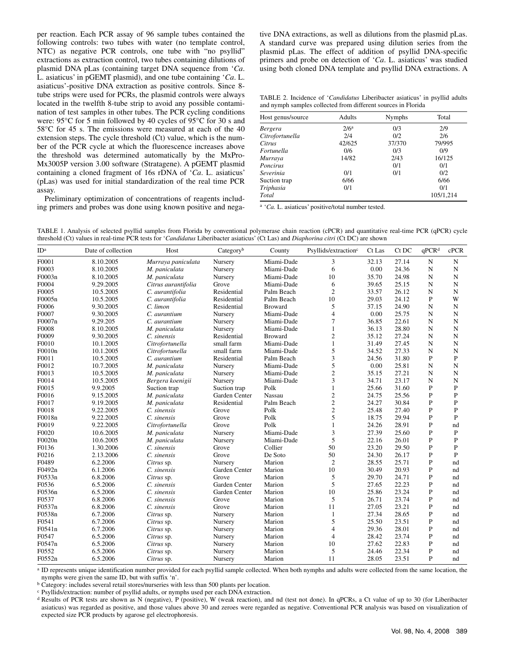per reaction. Each PCR assay of 96 sample tubes contained the following controls: two tubes with water (no template control, NTC) as negative PCR controls, one tube with "no psyllid" extractions as extraction control, two tubes containing dilutions of plasmid DNA pLas (containing target DNA sequence from '*Ca*. L. asiaticus' in pGEMT plasmid), and one tube containing '*Ca*. L. asiaticus'-positive DNA extraction as positive controls. Since 8 tube strips were used for PCRs, the plasmid controls were always located in the twelfth 8-tube strip to avoid any possible contamination of test samples in other tubes. The PCR cycling conditions were: 95°C for 5 min followed by 40 cycles of 95°C for 30 s and 58°C for 45 s. The emissions were measured at each of the 40 extension steps. The cycle threshold (Ct) value, which is the number of the PCR cycle at which the fluorescence increases above the threshold was determined automatically by the MxPro-Mx3005P version 3.00 software (Stratagene). A pGEMT plasmid containing a cloned fragment of 16s rDNA of '*Ca*. L. asiaticus' (pLas) was used for initial standardization of the real time PCR assay.

Preliminary optimization of concentrations of reagents including primers and probes was done using known positive and negative DNA extractions, as well as dilutions from the plasmid pLas. A standard curve was prepared using dilution series from the plasmid pLas. The effect of addition of psyllid DNA-specific primers and probe on detection of '*Ca*. L. asiaticus' was studied using both cloned DNA template and psyllid DNA extractions. A

TABLE 2. Incidence of '*Candidatus* Liberibacter asiaticus' in psyllid adults and nymph samples collected from different sources in Florida

| Host genus/source | Adults           | <b>Nymphs</b> | Total     |  |  |
|-------------------|------------------|---------------|-----------|--|--|
| Bergera           | 2/6 <sup>a</sup> | 0/3           | 2/9       |  |  |
| Citrofortunella   | 2/4              | 0/2           | 2/6       |  |  |
| Citrus            | 42/625           | 37/370        | 79/995    |  |  |
| Fortunella        | 0/6              | 0/3           | 0/9       |  |  |
| Murraya           | 14/82            | 2/43          | 16/125    |  |  |
| Poncirus          |                  | 0/1           | 0/1       |  |  |
| Severinia         | 0/1              | 0/1           | 0/2       |  |  |
| Suction trap      | 6/66             |               | 6/66      |  |  |
| Triphasia         | 0/1              |               | 0/1       |  |  |
| Total             |                  |               | 105/1,214 |  |  |

<sup>a</sup> '*Ca*. L. asiaticus' positive/total number tested.

TABLE 1. Analysis of selected psyllid samples from Florida by conventional polymerase chain reaction (cPCR) and quantitative real-time PCR (qPCR) cycle threshold (Ct) values in real-time PCR tests for '*Candidatus* Liberibacter asiaticus' (Ct Las) and *Diaphorina citri* (Ct DC) are shown

| ID <sup>a</sup> | Date of collection | Host                | Category <sup>b</sup> | County         | Psyllids/extraction <sup>c</sup> | Ct Las | Ct DC | $q$ PCR <sup>d</sup> | cPCR           |
|-----------------|--------------------|---------------------|-----------------------|----------------|----------------------------------|--------|-------|----------------------|----------------|
| F0001           | 8.10.2005          | Murraya paniculata  | Nursery               | Miami-Dade     | 3                                | 32.13  | 27.14 | ${\bf N}$            | $\mathbf N$    |
| F0003           | 8.10.2005          | M. paniculata       | Nursery               | Miami-Dade     | 6                                | 0.00   | 24.36 | $\mathbf N$          | N              |
| F0003n          | 8.10.2005          | M. paniculata       | Nursery               | Miami-Dade     | 10                               | 35.70  | 24.98 | N                    | N              |
| F0004           | 9.29.2005          | Citrus aurantifolia | Grove                 | Miami-Dade     | 6                                | 39.65  | 25.15 | N                    | $\mathbf N$    |
| F0005           | 10.5.2005          | C. aurantifolia     | Residential           | Palm Beach     | $\overline{2}$                   | 33.57  | 26.12 | N                    | $\mathbf N$    |
| F0005n          | 10.5.2005          | C. aurantifolia     | Residential           | Palm Beach     | 10                               | 29.03  | 24.12 | P                    | W              |
| F0006           | 9.30.2005          | C. limon            | Residential           | <b>Broward</b> | 5                                | 37.15  | 24.90 | N                    | $\mathbf N$    |
| F0007           | 9.30.2005          | C. aurantium        | Nursery               | Miami-Dade     | $\overline{4}$                   | 0.00   | 25.75 | N                    | N              |
| F0007n          | 9.29.205           | C. aurantium        | Nursery               | Miami-Dade     | $\tau$                           | 36.85  | 22.61 | N                    | N              |
| F0008           | 8.10.2005          | M. paniculata       | Nursery               | Miami-Dade     | $\mathbf{1}$                     | 36.13  | 28.80 | N                    | N              |
| F0009           | 9.30.2005          | C. sinensis         | Residential           | <b>Broward</b> | $\mathfrak{2}$                   | 35.12  | 27.24 | N                    | $\mathbf N$    |
| F0010           | 10.1.2005          | Citrofortunella     | small farm            | Miami-Dade     | $\mathbf{1}$                     | 31.49  | 27.45 | N                    | N              |
| F0010n          | 10.1.2005          | Citrofortunella     | small farm            | Miami-Dade     | 5                                | 34.52  | 27.33 | $\mathbf N$          | $\mathbf N$    |
| F0011           | 10.5.2005          | C. aurantium        | Residential           | Palm Beach     | 3                                | 24.56  | 31.80 | P                    | $\mathbf{P}$   |
| F0012           | 10.7.2005          | M. paniculata       | Nursery               | Miami-Dade     | 5                                | 0.00   | 25.81 | N                    | $\mathbf N$    |
| F0013           | 10.5.2005          | M. paniculata       | Nursery               | Miami-Dade     | $\overline{2}$                   | 35.15  | 27.21 | N                    | N              |
| F0014           | 10.5.2005          | Bergera koenigii    | Nursery               | Miami-Dade     | 3                                | 34.71  | 23.17 | N                    | N              |
| F0015           | 9.9.2005           | Suction trap        | Suction trap          | Polk           | $\mathbf{1}$                     | 25.66  | 31.60 | $\mathbf{P}$         | $\mathbf{P}$   |
| F0016           | 9.15.2005          | M. paniculata       | Garden Center         | Nassau         | $\sqrt{2}$                       | 24.75  | 25.56 | P                    | P              |
| F0017           | 9.19.2005          | M. paniculata       | Residential           | Palm Beach     | $\overline{c}$                   | 24.27  | 30.84 | P                    | P              |
| F0018           | 9.22.2005          | C. sinensis         | Grove                 | Polk           | $\overline{c}$                   | 25.48  | 27.40 | $\mathbf{P}$         | $\overline{P}$ |
| F0018n          | 9.22.2005          | C. sinensis         | Grove                 | Polk           | 5                                | 18.75  | 29.94 | P                    | P              |
| F0019           | 9.22.2005          | Citrofortunella     | Grove                 | Polk           | $\mathbf{1}$                     | 24.26  | 28.91 | P                    | nd             |
| F0020           | 10.6.2005          | M. paniculata       | Nursery               | Miami-Dade     | 3                                | 27.39  | 25.60 | P                    | $\mathbf{P}$   |
| F0020n          | 10.6.2005          | M. paniculata       | Nursery               | Miami-Dade     | 5                                | 22.16  | 26.01 | $\mathbf{P}$         | $\overline{P}$ |
| F0136           | 1.30.2006          | C. sinensis         | Grove                 | Collier        | 50                               | 23.20  | 29.50 | P                    | $\mathbf{P}$   |
| F0216           | 2.13.2006          | C. sinensis         | Grove                 | De Soto        | 50                               | 24.30  | 26.17 | P                    | P              |
| F0489           | 6.2.2006           | Citrus sp.          | Nursery               | Marion         | $\mathfrak{2}$                   | 28.55  | 25.71 | $\mathbf{P}$         | nd             |
| F0492n          | 6.1.2006           | C. sinensis         | Garden Center         | Marion         | 10                               | 30.49  | 20.93 | P                    | nd             |
| F0533n          | 6.8.2006           | Citrus sp.          | Grove                 | Marion         | 5                                | 29.70  | 24.71 | P                    | nd             |
| F0536           | 6.5.2006           | C. sinensis         | Garden Center         | Marion         | 5                                | 27.65  | 22.23 | $\mathbf{P}$         | nd             |
| F0536n          | 6.5.2006           | C. sinensis         | Garden Center         | Marion         | 10                               | 25.86  | 23.24 | P                    | nd             |
| F0537           | 6.8.2006           | C. sinensis         | Grove                 | Marion         | 5                                | 26.71  | 23.74 | P                    | nd             |
| F0537n          | 6.8.2006           | C. sinensis         | Grove                 | Marion         | 11                               | 27.05  | 23.21 | $\mathbf{P}$         | nd             |
| F0538n          | 6.7.2006           | Citrus sp.          | Nursery               | Marion         | $\mathbf{1}$                     | 27.34  | 28.65 | $\mathbf{P}$         | nd             |
| F0541           | 6.7.2006           | Citrus sp.          | Nursery               | Marion         | 5                                | 25.50  | 23.51 | P                    | nd             |
| F0541n          | 6.7.2006           | Citrus sp.          | Nursery               | Marion         | 4                                | 29.36  | 28.01 | $\mathbf{P}$         | nd             |
| F0547           | 6.5.2006           | Citrus sp.          | Nursery               | Marion         | $\overline{4}$                   | 28.42  | 23.74 | $\mathbf{P}$         | nd             |
| F0547n          | 6.5.2006           | Citrus sp.          | Nursery               | Marion         | 10                               | 27.62  | 22.83 | P                    | nd             |
| F0552           | 6.5.2006           | Citrus sp.          | Nursery               | Marion         | 5                                | 24.46  | 22.34 | P                    | nd             |
| F0552n          | 6.5.2006           | Citrus sp.          | Nursery               | Marion         | 11                               | 28.05  | 23.51 | P                    | nd             |

<sup>a</sup> ID represents unique identification number provided for each psyllid sample collected. When both nymphs and adults were collected from the same location, the nymphs were given the same ID, but with suffix 'n'.

**b** Category: includes several retail stores/nurseries with less than 500 plants per location.

c Psyllids/extraction: number of psyllid adults, or nymphs used per each DNA extraction.

d Results of PCR tests are shown as N (negative), P (positive), W (weak reaction), and nd (test not done). In qPCRs, a Ct value of up to 30 (for Liberibacter asiaticus) was regarded as positive, and those values above 30 and zeroes were regarded as negative. Conventional PCR analysis was based on visualization of expected size PCR products by agarose gel electrophoresis.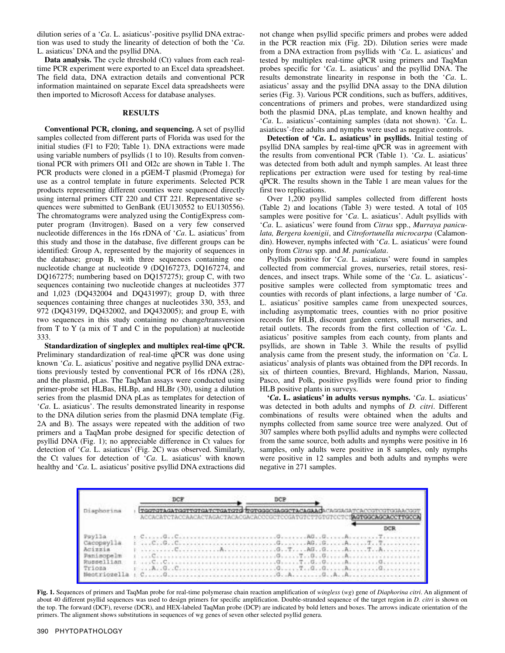dilution series of a '*Ca*. L. asiaticus'-positive psyllid DNA extraction was used to study the linearity of detection of both the '*Ca*. L. asiaticus' DNA and the psyllid DNA.

**Data analysis.** The cycle threshold (Ct) values from each realtime PCR experiment were exported to an Excel data spreadsheet. The field data, DNA extraction details and conventional PCR information maintained on separate Excel data spreadsheets were then imported to Microsoft Access for database analyses.

#### **RESULTS**

**Conventional PCR, cloning, and sequencing.** A set of psyllid samples collected from different parts of Florida was used for the initial studies (F1 to F20; Table 1). DNA extractions were made using variable numbers of psyllids (1 to 10). Results from conventional PCR with primers OI1 and OI2c are shown in Table 1. The PCR products were cloned in a pGEM-T plasmid (Promega) for use as a control template in future experiments. Selected PCR products representing different counties were sequenced directly using internal primers CIT 220 and CIT 221. Representative sequences were submitted to GenBank (EU130552 to EU130556). The chromatograms were analyzed using the ContigExpress computer program (Invitrogen). Based on a very few conserved nucleotide differences in the 16s rDNA of '*Ca*. L. asiaticus' from this study and those in the database, five different groups can be identified: Group A, represented by the majority of sequences in the database; group B, with three sequences containing one nucleotide change at nucleotide 9 (DQ167273, DQ167274, and DQ167275; numbering based on DQ157275); group C, with two sequences containing two nucleotide changes at nucleotides 377 and 1,023 (DQ432004 and DQ431997); group D, with three sequences containing three changes at nucleotides 330, 353, and 972 (DQ43199, DQ432002, and DQ432005); and group E, with two sequences in this study containing no change/transversion from  $T$  to  $Y$  (a mix of  $T$  and  $C$  in the population) at nucleotide 333.

**Standardization of singleplex and multiplex real-time qPCR.**  Preliminary standardization of real-time qPCR was done using known '*Ca*. L. asiaticus' positive and negative psyllid DNA extractions previously tested by conventional PCR of 16s rDNA (28), and the plasmid, pLas. The TaqMan assays were conducted using primer-probe set HLBas, HLBp, and HLBr (30), using a dilution series from the plasmid DNA pLas as templates for detection of '*Ca*. L. asiaticus'. The results demonstrated linearity in response to the DNA dilution series from the plasmid DNA template (Fig. 2A and B). The assays were repeated with the addition of two primers and a TaqMan probe designed for specific detection of psyllid DNA (Fig. 1); no appreciable difference in Ct values for detection of '*Ca*. L. asiaticus' (Fig. 2C) was observed. Similarly, the Ct values for detection of '*Ca*. L. asiaticus' with known healthy and '*Ca*. L. asiaticus' positive psyllid DNA extractions did

not change when psyllid specific primers and probes were added in the PCR reaction mix (Fig. 2D). Dilution series were made from a DNA extraction from psyllids with '*Ca*. L. asiaticus' and tested by multiplex real-time qPCR using primers and TaqMan probes specific for '*Ca*. L. asiaticus' and the psyllid DNA. The results demonstrate linearity in response in both the '*Ca*. L. asiaticus' assay and the psyllid DNA assay to the DNA dilution series (Fig. 3). Various PCR conditions, such as buffers, additives, concentrations of primers and probes, were standardized using both the plasmid DNA, pLas template, and known healthy and '*Ca*. L. asiaticus'-containing samples (data not shown). '*Ca*. L. asiaticus'-free adults and nymphs were used as negative controls.

**Detection of '***Ca***. L. asiaticus' in psyllids.** Initial testing of psyllid DNA samples by real-time qPCR was in agreement with the results from conventional PCR (Table 1). '*Ca*. L. asiaticus' was detected from both adult and nymph samples. At least three replications per extraction were used for testing by real-time qPCR. The results shown in the Table 1 are mean values for the first two replications.

Over 1,200 psyllid samples collected from different hosts (Table 2) and locations (Table 3) were tested. A total of 105 samples were positive for '*Ca*. L. asiaticus'. Adult psyllids with '*Ca*. L. asiaticus' were found from *Citrus* spp., *Murraya paniculata, Bergera koenigii*, and *Citrofortunella microcarpa* (Calamondin). However, nymphs infected with '*Ca*. L. asiaticus' were found only from *Citrus* spp. and *M. paniculata*.

Psyllids positive for '*Ca*. L. asiaticus' were found in samples collected from commercial groves, nurseries, retail stores, residences, and insect traps. While some of the '*Ca*. L. asiaticus' positive samples were collected from symptomatic trees and counties with records of plant infections, a large number of '*Ca*. L. asiaticus' positive samples came from unexpected sources, including asymptomatic trees, counties with no prior positive records for HLB, discount garden centers, small nurseries, and retail outlets. The records from the first collection of '*Ca*. L. asiaticus' positive samples from each county, from plants and psyllids, are shown in Table 3. While the results of psyllid analysis came from the present study, the information on '*Ca*. L asiaticus' analysis of plants was obtained from the DPI records. In six of thirteen counties, Brevard, Highlands, Marion, Nassau, Pasco, and Polk, positive psyllids were found prior to finding HLB positive plants in surveys.

**'***Ca***. L. asiaticus' in adults versus nymphs.** '*Ca*. L. asiaticus' was detected in both adults and nymphs of *D. citri*. Different combinations of results were obtained when the adults and nymphs collected from same source tree were analyzed. Out of 307 samples where both psyllid adults and nymphs were collected from the same source, both adults and nymphs were positive in 16 samples, only adults were positive in 8 samples, only nymphs were positive in 12 samples and both adults and nymphs were negative in 271 samples.



**Fig. 1.** Sequences of primers and TaqMan probe for real-time polymerase chain reaction amplification of *wingless* (*wg*) gene of *Diaphorina citri*. An alignment of about 40 different psyllid sequences was used to design primers for specific amplification. Double-stranded sequence of the target region in *D. citri* is shown on the top. The forward (DCF), reverse (DCR), and HEX-labeled TaqMan probe (DCP) are indicated by bold letters and boxes. The arrows indicate orientation of the primers. The alignment shows substitutions in sequences of wg genes of seven other selected psyllid genera.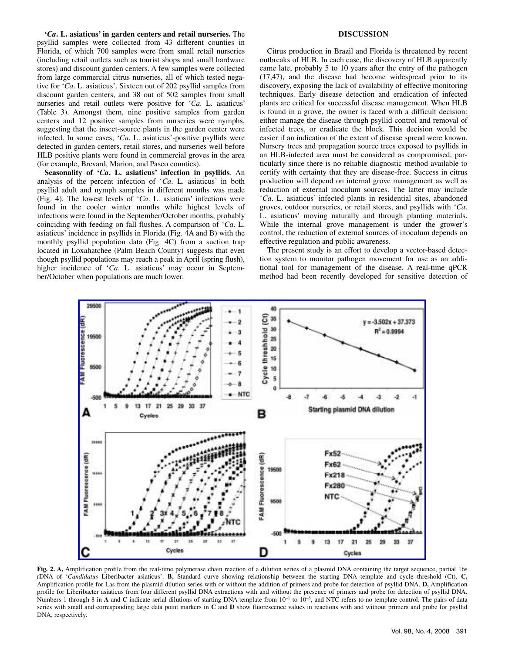**'***Ca***. L. asiaticus' in garden centers and retail nurseries.** The psyllid samples were collected from 43 different counties in Florida, of which 700 samples were from small retail nurseries (including retail outlets such as tourist shops and small hardware stores) and discount garden centers. A few samples were collected from large commercial citrus nurseries, all of which tested negative for '*Ca*. L. asiaticus'. Sixteen out of 202 psyllid samples from discount garden centers, and 38 out of 502 samples from small nurseries and retail outlets were positive for '*Ca*. L. asiaticus' (Table 3). Amongst them, nine positive samples from garden centers and 12 positive samples from nurseries were nymphs, suggesting that the insect-source plants in the garden center were infected. In some cases, '*Ca*. L. asiaticus'-positive psyllids were detected in garden centers, retail stores, and nurseries well before HLB positive plants were found in commercial groves in the area (for example, Brevard, Marion, and Pasco counties).

**Seasonality of '***Ca***. L. asiaticus' infection in psyllids**. An analysis of the percent infection of '*Ca*. L. asiaticus' in both psyllid adult and nymph samples in different months was made (Fig. 4). The lowest levels of '*Ca*. L. asiaticus' infections were found in the cooler winter months while highest levels of infections were found in the September/October months, probably coinciding with feeding on fall flushes. A comparison of '*Ca*. L. asiaticus' incidence in psyllids in Florida (Fig. 4A and B) with the monthly psyllid population data (Fig. 4C) from a suction trap located in Loxahatchee (Palm Beach County) suggests that even though psyllid populations may reach a peak in April (spring flush), higher incidence of '*Ca*. L. asiaticus' may occur in September/October when populations are much lower.

## **DISCUSSION**

Citrus production in Brazil and Florida is threatened by recent outbreaks of HLB. In each case, the discovery of HLB apparently came late, probably 5 to 10 years after the entry of the pathogen (17,47), and the disease had become widespread prior to its discovery, exposing the lack of availability of effective monitoring techniques. Early disease detection and eradication of infected plants are critical for successful disease management. When HLB is found in a grove, the owner is faced with a difficult decision: either manage the disease through psyllid control and removal of infected trees, or eradicate the block. This decision would be easier if an indication of the extent of disease spread were known. Nursery trees and propagation source trees exposed to psyllids in an HLB-infected area must be considered as compromised, particularly since there is no reliable diagnostic method available to certify with certainty that they are disease-free. Success in citrus production will depend on internal grove management as well as reduction of external inoculum sources. The latter may include '*Ca*. L. asiaticus' infected plants in residential sites, abandoned groves, outdoor nurseries, or retail stores, and psyllids with '*Ca*. L. asiaticus' moving naturally and through planting materials. While the internal grove management is under the grower's control, the reduction of external sources of inoculum depends on effective regulation and public awareness.

The present study is an effort to develop a vector-based detection system to monitor pathogen movement for use as an additional tool for management of the disease. A real-time qPCR method had been recently developed for sensitive detection of



**Fig. 2. A,** Amplification profile from the real-time polymerase chain reaction of a dilution series of a plasmid DNA containing the target sequence, partial 16s rDNA of '*Candidatus* Liberibacter asiaticus'. **B,** Standard curve showing relationship between the starting DNA template and cycle threshold (Ct). **C,** Amplification profile for Las from the plasmid dilution series with or without the addition of primers and probe for detection of psyllid DNA. **D,** Amplification profile for Liberibacter asiaticus from four different psyllid DNA extractions with and without the presence of primers and probe for detection of psyllid DNA. Numbers 1 through 8 in **A** and **C** indicate serial dilutions of starting DNA template from 10<sup>-1</sup> to 10<sup>-8</sup>, and NTC refers to no template control. The pairs of data series with small and corresponding large data point markers in **C** and **D** show fluorescence values in reactions with and without primers and probe for psyllid DNA, respectively.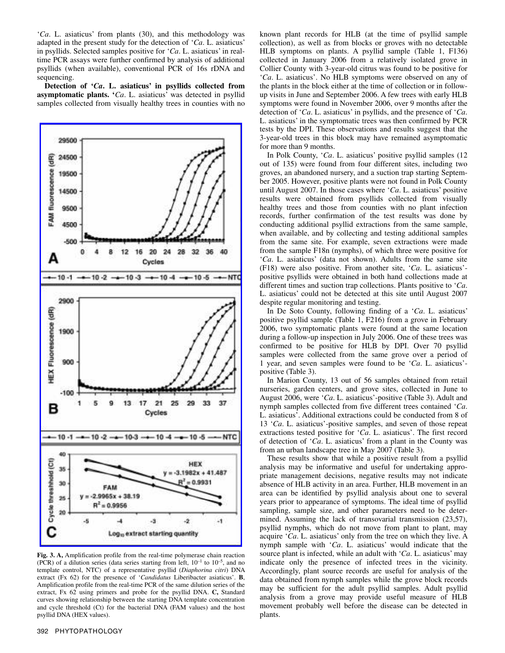'*Ca*. L. asiaticus' from plants (30), and this methodology was adapted in the present study for the detection of '*Ca*. L. asiaticus' in psyllids. Selected samples positive for '*Ca*. L. asiaticus' in realtime PCR assays were further confirmed by analysis of additional psyllids (when available), conventional PCR of 16s rDNA and sequencing.

**Detection of '***Ca***. L. asiaticus' in psyllids collected from asymptomatic plants. '***Ca*. L. asiaticus' was detected in psyllid samples collected from visually healthy trees in counties with no



**Fig. 3. A,** Amplification profile from the real-time polymerase chain reaction (PCR) of a dilution series (data series starting from left,  $10^{-1}$  to  $10^{-5}$ , and no template control, NTC) of a representative psyllid (*Diaphorina citri*) DNA extract (Fx 62) for the presence of '*Candidatus* Liberibacter asiaticus'. **B**, Amplification profile from the real-time PCR of the same dilution series of the extract, Fx 62 using primers and probe for the psyllid DNA. **C,** Standard curves showing relationship between the starting DNA template concentration and cycle threshold (Ct) for the bacterial DNA (FAM values) and the host psyllid DNA (HEX values).

known plant records for HLB (at the time of psyllid sample collection), as well as from blocks or groves with no detectable HLB symptoms on plants. A psyllid sample (Table 1, F136) collected in January 2006 from a relatively isolated grove in Collier County with 3-year-old citrus was found to be positive for '*Ca*. L. asiaticus'. No HLB symptoms were observed on any of the plants in the block either at the time of collection or in followup visits in June and September 2006. A few trees with early HLB symptoms were found in November 2006, over 9 months after the detection of '*Ca*. L. asiaticus' in psyllids, and the presence of '*Ca*. L. asiaticus' in the symptomatic trees was then confirmed by PCR tests by the DPI. These observations and results suggest that the 3-year-old trees in this block may have remained asymptomatic for more than 9 months.

In Polk County, '*Ca*. L. asiaticus' positive psyllid samples (12 out of 135) were found from four different sites, including two groves, an abandoned nursery, and a suction trap starting September 2005. However, positive plants were not found in Polk County until August 2007. In those cases where '*Ca*. L. asiaticus' positive results were obtained from psyllids collected from visually healthy trees and those from counties with no plant infection records, further confirmation of the test results was done by conducting additional psyllid extractions from the same sample, when available, and by collecting and testing additional samples from the same site. For example, seven extractions were made from the sample F18n (nymphs), of which three were positive for '*Ca*. L. asiaticus' (data not shown). Adults from the same site (F18) were also positive. From another site, '*Ca*. L. asiaticus' positive psyllids were obtained in both hand collections made at different times and suction trap collections. Plants positive to '*Ca*. L. asiaticus' could not be detected at this site until August 2007 despite regular monitoring and testing.

In De Soto County, following finding of a '*Ca*. L. asiaticus' positive psyllid sample (Table 1, F216) from a grove in February 2006, two symptomatic plants were found at the same location during a follow-up inspection in July 2006. One of these trees was confirmed to be positive for HLB by DPI. Over 70 psyllid samples were collected from the same grove over a period of 1 year, and seven samples were found to be '*Ca*. L. asiaticus' positive (Table 3).

In Marion County, 13 out of 56 samples obtained from retail nurseries, garden centers, and grove sites, collected in June to August 2006, were '*Ca*. L. asiaticus'-positive (Table 3). Adult and nymph samples collected from five different trees contained '*Ca*. L. asiaticus'. Additional extractions could be conducted from 8 of 13 '*Ca*. L. asiaticus'-positive samples, and seven of those repeat extractions tested positive for '*Ca*. L. asiaticus'. The first record of detection of '*Ca*. L. asiaticus' from a plant in the County was from an urban landscape tree in May 2007 (Table 3).

These results show that while a positive result from a psyllid analysis may be informative and useful for undertaking appropriate management decisions, negative results may not indicate absence of HLB activity in an area. Further, HLB movement in an area can be identified by psyllid analysis about one to several years prior to appearance of symptoms. The ideal time of psyllid sampling, sample size, and other parameters need to be determined. Assuming the lack of transovarial transmission (23,57), psyllid nymphs, which do not move from plant to plant, may acquire '*Ca*. L. asiaticus' only from the tree on which they live. A nymph sample with '*Ca*. L. asiaticus' would indicate that the source plant is infected, while an adult with '*Ca*. L. asiaticus' may indicate only the presence of infected trees in the vicinity. Accordingly, plant source records are useful for analysis of the data obtained from nymph samples while the grove block records may be sufficient for the adult psyllid samples. Adult psyllid analysis from a grove may provide useful measure of HLB movement probably well before the disease can be detected in plants.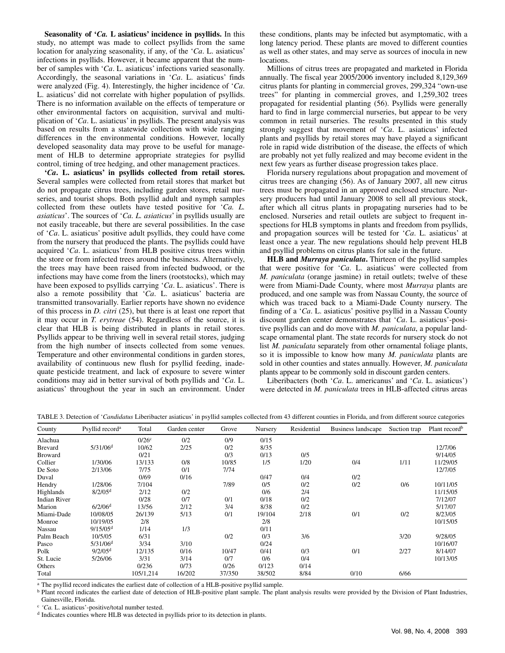**Seasonality of '***Ca.* **L asiaticus' incidence in psyllids.** In this study, no attempt was made to collect psyllids from the same location for analyzing seasonality, if any, of the '*Ca*. L. asiaticus' infections in psyllids. However, it became apparent that the number of samples with '*Ca*. L. asiaticus' infections varied seasonally. Accordingly, the seasonal variations in '*Ca*. L. asiaticus' finds were analyzed (Fig. 4). Interestingly, the higher incidence of '*Ca*. L. asiaticus' did not correlate with higher population of psyllids. There is no information available on the effects of temperature or other environmental factors on acquisition, survival and multiplication of '*Ca*. L. asiaticus' in psyllids. The present analysis was based on results from a statewide collection with wide ranging differences in the environmental conditions. However, locally developed seasonality data may prove to be useful for management of HLB to determine appropriate strategies for psyllid control, timing of tree hedging, and other management practices.

**'***Ca***. L. asiaticus' in psyllids collected from retail stores.** Several samples were collected from retail stores that market but do not propagate citrus trees, including garden stores, retail nurseries, and tourist shops. Both psyllid adult and nymph samples collected from these outlets have tested positive for '*Ca. L. asiaticus*'. The sources of '*Ca. L. asiaticus*' in psyllids usually are not easily traceable, but there are several possibilities. In the case of '*Ca*. L. asiaticus' positive adult psyllids, they could have come from the nursery that produced the plants. The psyllids could have acquired '*Ca*. L. asiaticus' from HLB positive citrus trees within the store or from infected trees around the business. Alternatively, the trees may have been raised from infected budwood, or the infections may have come from the liners (rootstocks), which may have been exposed to psyllids carrying '*Ca*. L. asiaticus'. There is also a remote possibility that '*Ca*. L. asiaticus' bacteria are transmitted transovarially. Earlier reports have shown no evidence of this process in *D. citri* (25), but there is at least one report that it may occur in *T. erytreae* (54). Regardless of the source, it is clear that HLB is being distributed in plants in retail stores. Psyllids appear to be thriving well in several retail stores, judging from the high number of insects collected from some venues. Temperature and other environmental conditions in garden stores, availability of continuous new flush for psyllid feeding, inadequate pesticide treatment, and lack of exposure to severe winter conditions may aid in better survival of both psyllids and '*Ca*. L. asiaticus' throughout the year in such an environment. Under

these conditions, plants may be infected but asymptomatic, with a long latency period. These plants are moved to different counties as well as other states, and may serve as sources of inocula in new locations.

Millions of citrus trees are propagated and marketed in Florida annually. The fiscal year 2005/2006 inventory included 8,129,369 citrus plants for planting in commercial groves, 299,324 "own-use trees" for planting in commercial groves, and 1,259,302 trees propagated for residential planting (56). Psyllids were generally hard to find in large commercial nurseries, but appear to be very common in retail nurseries. The results presented in this study strongly suggest that movement of '*Ca*. L. asiaticus' infected plants and psyllids by retail stores may have played a significant role in rapid wide distribution of the disease, the effects of which are probably not yet fully realized and may become evident in the next few years as further disease progression takes place.

Florida nursery regulations about propagation and movement of citrus trees are changing (56). As of January 2007, all new citrus trees must be propagated in an approved enclosed structure. Nursery producers had until January 2008 to sell all previous stock, after which all citrus plants in propagating nurseries had to be enclosed. Nurseries and retail outlets are subject to frequent inspections for HLB symptoms in plants and freedom from psyllids, and propagation sources will be tested for '*Ca*. L. asiaticus' at least once a year. The new regulations should help prevent HLB and psyllid problems on citrus plants for sale in the future.

**HLB and** *Murraya paniculata***.** Thirteen of the psyllid samples that were positive for '*Ca*. L. asiaticus' were collected from *M. paniculata* (orange jasmine) in retail outlets; twelve of these were from Miami-Dade County, where most *Murraya* plants are produced, and one sample was from Nassau County, the source of which was traced back to a Miami-Dade County nursery. The finding of a '*Ca*. L. asiaticus' positive psyllid in a Nassau County discount garden center demonstrates that '*Ca*. L. asiaticus'-positive psyllids can and do move with *M. paniculata*, a popular landscape ornamental plant. The state records for nursery stock do not list *M. paniculata* separately from other ornamental foliage plants, so it is impossible to know how many *M. paniculata* plants are sold in other counties and states annually. However, *M. paniculata* plants appear to be commonly sold in discount garden centers.

Liberibacters (both '*Ca*. L. americanus' and '*Ca*. L. asiaticus') were detected in *M. paniculata* trees in HLB-affected citrus areas

TABLE 3. Detection of '*Candidatus* Liberibacter asiaticus' in psyllid samples collected from 43 different counties in Florida, and from different source categories

| County              | Psyllid record <sup>a</sup> | Total               | Garden center | Grove  | Nursery | Residential | Business landscape | Suction trap | Plant record <sup>b</sup> |
|---------------------|-----------------------------|---------------------|---------------|--------|---------|-------------|--------------------|--------------|---------------------------|
| Alachua             |                             | $0/26$ <sup>c</sup> | 0/2           | 0/9    | 0/15    |             |                    |              |                           |
| <b>Brevard</b>      | $5/31/06$ <sup>d</sup>      | 10/62               | 2/25          | 0/2    | 8/35    |             |                    |              | 12/7/06                   |
| <b>Broward</b>      |                             | 0/21                |               | 0/3    | 0/13    | 0/5         |                    |              | 9/14/05                   |
| Collier             | 1/30/06                     | 13/133              | 0/8           | 10/85  | 1/5     | 1/20        | 0/4                | 1/11         | 11/29/05                  |
| De Soto             | 2/13/06                     | 7/75                | 0/1           | 7/74   |         |             |                    |              | 12/7/05                   |
| Duval               |                             | 0/69                | 0/16          |        | 0/47    | 0/4         | 0/2                |              |                           |
| Hendry              | 1/28/06                     | 7/104               |               | 7/89   | 0/5     | 0/2         | 0/2                | 0/6          | 10/11/05                  |
| Highlands           | 8/2/05 <sup>d</sup>         | 2/12                | 0/2           |        | 0/6     | 2/4         |                    |              | 11/15/05                  |
| <b>Indian River</b> |                             | 0/28                | 0/7           | 0/1    | 0/18    | 0/2         |                    |              | 7/12/07                   |
| Marion              | 6/2/06 <sup>d</sup>         | 13/56               | 2/12          | 3/4    | 8/38    | 0/2         |                    |              | 5/17/07                   |
| Miami-Dade          | 10/08/05                    | 26/139              | 5/13          | 0/1    | 19/104  | 2/18        | 0/1                | 0/2          | 8/23/05                   |
| Monroe              | 10/19/05                    | 2/8                 |               |        | 2/8     |             |                    |              | 10/15/05                  |
| Nassau              | 9/15/05 <sup>d</sup>        | 1/14                | 1/3           |        | 0/11    |             |                    |              |                           |
| Palm Beach          | 10/5/05                     | 6/31                |               | 0/2    | 0/3     | 3/6         |                    | 3/20         | 9/28/05                   |
| Pasco               | 5/31/06 <sup>d</sup>        | 3/34                | 3/10          |        | 0/24    |             |                    |              | 10/16/07                  |
| Polk                | 9/2/05 <sup>d</sup>         | 12/135              | 0/16          | 10/47  | 0/41    | 0/3         | 0/1                | 2/27         | 8/14/07                   |
| St. Lucie           | 5/26/06                     | 3/31                | 3/14          | 0/7    | 0/6     | 0/4         |                    |              | 10/13/05                  |
| Others              |                             | 0/236               | 0/73          | 0/26   | 0/123   | 0/14        |                    |              |                           |
| Total               |                             | 105/1.214           | 16/202        | 37/350 | 38/502  | 8/84        | 0/10               | 6/66         |                           |

<sup>a</sup> The psyllid record indicates the earliest date of collection of a HLB-positive psyllid sample.

<sup>b</sup> Plant record indicates the earliest date of detection of HLB-positive plant sample. The plant analysis results were provided by the Division of Plant Industries,

Gainesville, Florida.<br> $\frac{c}{c}$  'Ca. L. asiaticus'-positive/total number tested.

<sup>d</sup> Indicates counties where HLB was detected in psyllids prior to its detection in plants.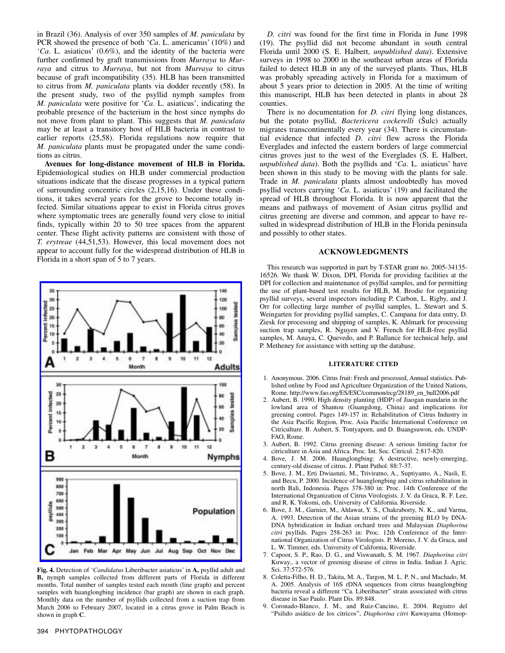in Brazil (36). Analysis of over 350 samples of *M. paniculata* by PCR showed the presence of both '*Ca*. L. americanus' (10%) and '*Ca*. L. asiaticus' (0.6%), and the identity of the bacteria were further confirmed by graft transmissions from *Murraya* to *Murraya* and citrus to *Murraya*, but not from *Murraya* to citrus because of graft incompatibility (35). HLB has been transmitted to citrus from *M. paniculata* plants via dodder recently (58). In the present study, two of the psyllid nymph samples from *M. paniculata* were positive for '*Ca*. L. asiaticus', indicating the probable presence of the bacterium in the host since nymphs do not move from plant to plant. This suggests that *M. paniculata* may be at least a transitory host of HLB bacteria in contrast to earlier reports (25,58). Florida regulations now require that *M. paniculata* plants must be propagated under the same conditions as citrus.

**Avenues for long-distance movement of HLB in Florida.** Epidemiological studies on HLB under commercial production situations indicate that the disease progresses in a typical pattern of surrounding concentric circles (2,15,16). Under these conditions, it takes several years for the grove to become totally infected. Similar situations appear to exist in Florida citrus groves where symptomatic trees are generally found very close to initial finds, typically within 20 to 50 tree spaces from the apparent center. These flight activity patterns are consistent with those of *T. erytreae* (44,51,53). However, this local movement does not appear to account fully for the widespread distribution of HLB in Florida in a short span of 5 to 7 years.



**Fig. 4.** Detection of '*Candidatus* Liberibacter asiaticus' in **A,** psyllid adult and **B,** nymph samples collected from different parts of Florida in different months. Total number of samples tested each month (line graph) and percent samples with huanglongbing incidence (bar graph) are shown in each graph. Monthly data on the number of psyllids collected from a suction trap from March 2006 to February 2007, located in a citrus grove in Palm Beach is shown in graph **C**.

*D. citri* was found for the first time in Florida in June 1998 (19). The psyllid did not become abundant in south central Florida until 2000 (S. E. Halbert, *unpublished data*). Extensive surveys in 1998 to 2000 in the southeast urban areas of Florida failed to detect HLB in any of the surveyed plants. Thus, HLB was probably spreading actively in Florida for a maximum of about 5 years prior to detection in 2005. At the time of writing this manuscript, HLB has been detected in plants in about 28 counties.

There is no documentation for *D. citri* flying long distances, but the potato psyllid, *Bactericera cockerelli* (Šulc) actually migrates transcontinentally every year (34). There is circumstantial evidence that infected *D. citri* flew across the Florida Everglades and infected the eastern borders of large commercial citrus groves just to the west of the Everglades (S. E. Halbert, *unpublished data*). Both the psyllids and '*Ca*. L. asiaticus' have been shown in this study to be moving with the plants for sale. Trade in *M. paniculata* plants almost undoubtedly has moved psyllid vectors carrying '*Ca*. L. asiaticus' (19) and facilitated the spread of HLB throughout Florida. It is now apparent that the means and pathways of movement of Asian citrus psyllid and citrus greening are diverse and common, and appear to have resulted in widespread distribution of HLB in the Florida peninsula and possibly to other states.

#### **ACKNOWLEDGMENTS**

This research was supported in part by T-STAR grant no. 2005-34135- 16526. We thank W. Dixon, DPI, Florida for providing facilities at the DPI for collection and maintenance of psyllid samples, and for permitting the use of plant-based test results for HLB, M. Brodie for organizing psyllid surveys, several inspectors including P. Carbon, L. Rigby, and J. Orr for collecting large number of psyllid samples, L. Stewart and S. Weingarten for providing psyllid samples, C. Campana for data entry, D. Ziesk for processing and shipping of samples, K. Ahlmark for processing suction trap samples, R. Nguyen and V. French for HLB-free psyllid samples, M. Anaya, C. Quevedo, and P. Ballance for technical help, and P. Metheney for assistance with setting up the database.

#### **LITERATURE CITED**

- 1. Anonymous. 2006. Citrus fruit: Fresh and processed, Annual statistics. Published online by Food and Agriculture Organization of the United Nations, Rome. http://www.fao.org/ES/ESC/common/ecg/28189\_en\_bull2006.pdf
- 2. Aubert, B. 1990. High density planting (HDP) of Jiaogan mandarin in the lowland area of Shantou (Guangdong, China) and implications for greening control. Pages 149-157 in: Rehabilitation of Citrus Industry in the Asia Pacific Region, Proc. Asia Pacific International Conference on Citriculture. B. Aubert, S. Tontyaporn, and D. Buangsuwon, eds. UNDP-FAO, Rome.
- 3. Aubert, B. 1992. Citrus greening disease: A serious limiting factor for citriculture in Asia and Africa. Proc. Int. Soc. Citricul. 2:817-820.
- 4. Bove, J. M. 2006. Huanglongbing: A destructive, newly-emerging, century-old disease of citrus. J. Plant Pathol. 88:7-37.
- 5. Bove, J. M., Erti Dwiastuti, M., Triviratno, A., Suptiyanto, A., Nasli, E. and Becu, P. 2000. Incidence of huanglongbing and citrus rehabilitation in north Bali, Indonesia. Pages 378-380 in: Proc. 14th Conference of the International Organization of Citrus Virologists. J. V. da Graca, R. F. Lee, and R. K. Yokomi, eds. University of California. Riverside.
- 6. Bove, J. M., Garnier, M., Ahlawat, Y. S., Chakraborty, N. K., and Varma, A. 1993. Detection of the Asian strains of the greening BLO by DNA-DNA hybridization in Indian orchard trees and Malaysian *Diaphorina citri* psyllids. Pages 258-263 in: Proc. 12th Conference of the International Organization of Citrus Virologists. P. Moreno, J. V. da Graca, and L. W. Timmer, eds. University of California, Riverside.
- 7. Capoor, S. P., Rao, D. G., and Viswanath, S. M. 1967. *Diaphorina citri* Kuway., a vector of greening disease of citrus in India. Indian J. Agric. Sci. 37:572-576.
- 8. Coletta-Filho, H. D., Takita, M. A., Targon, M. L. P. N., and Machado, M. A. 2005. Analysis of 16S rDNA sequences from citrus huanglongbing bacteria reveal a different "Ca. Liberibacter" strain associated with citrus disease in Sao Paulo. Plant Dis. 89:848.
- 9. Coronado-Blanco, J. M., and Ruiz-Cancino, E. 2004. Registro del "Psilido asiático de los citricos", *Diaphorina citri* Kuwayama (Homop-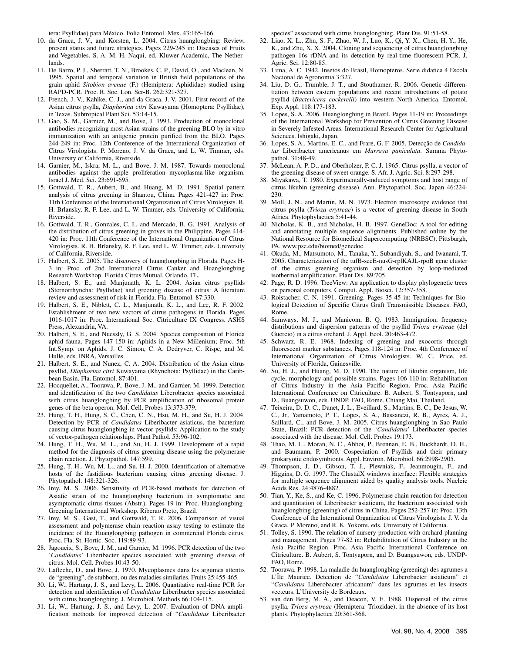tera: Psyllidae) para México. Folia Entomol. Mex. 43:165-166.

- 10. da Graca, J. V., and Korsten, L. 2004. Citrus huanglongbing: Review, present status and future strategies. Pages 229-245 in: Diseases of Fruits and Vegetables. S. A. M. H. Naqui, ed. Kluwer Academic, The Netherlands.
- 11. De Barro, P. J., Sherratt, T. N., Brookes, C. P., David, O., and Maclean, N. 1995. Spatial and temporal variation in British field populations of the grain aphid *Sitobion avenae* (F.) (Hemiptera: Aphididae) studied using RAPD-PCR. Proc. R. Soc. Lon. Ser-B. 262:321-327.
- 12. French, J. V., Kahlke, C. J., and da Graca, J. V. 2001. First record of the Asian citrus psylla, *Diaphorina citri* Kuwayama (Homoptera: Psyllidae), in Texas. Subtropical Plant Sci. 53:14-15.
- 13. Gao, S. M., Garnier, M., and Bove, J. 1993. Production of monoclonal antibodies recognizing most Asian strains of the greening BLO by in vitro immunization with an antigenic protein purified from the BLO. Pages 244-249 in: Proc. 12th Conference of the International Organization of Citrus Virologists. P. Moreno, J. V. da Graca, and L. W. Timmer, eds. University of California, Riverside.
- 14. Garnier, M., Iskra, M. L., and Bove, J. M. 1987. Towards monoclonal antibodies against the apple proliferation mycoplasma-like organism. Israel J. Med. Sci. 23:691-695.
- 15. Gottwald, T. R., Aubert, B., and Huang, M. D. 1991. Spatial pattern analysis of citrus greening in Shantou, China. Pages 421-427 in: Proc. 11th Conference of the International Organization of Citrus Virologists. R. H. Brlansky, R. F. Lee, and L. W. Timmer, eds. University of California, Riverside.
- 16. Gottwald, T. R., Gonzales, C. I., and Mercado, B. G. 1991. Analysis of the distribution of citrus greening in groves in the Philippine. Pages 414- 420 in: Proc. 11th Conference of the International Organization of Citrus Virologists. R. H. Brlansky, R. F. Lee, and L. W. Timmer, eds. University of California, Riverside.
- 17. Halbert, S. E. 2005. The discovery of huanglongbing in Florida. Pages H-3 in: Proc. of 2nd International Citrus Canker and Huanglongbing Research Workshop. Florida Citrus Mutual. Orlando, FL.
- 18. Halbert, S. E., and Manjunath, K. L. 2004. Asian citrus psyllids (Sternorrhyncha: Psyllidae) and greening disease of citrus: A literature review and assessment of risk in Florida. Fla. Entomol. 87:330.
- 19. Halbert, S. E., Niblett, C. L., Manjunath, K. L., and Lee, R. F. 2002. Establishment of two new vectors of citrus pathogens in Florida. Pages 1016-1017 in: Proc. International Soc. Citriculture IX Congress. ASHS Press, Alexandria, VA.
- 20. Halbert, S. E., and Nuessly, G. S. 2004. Species composition of Florida aphid fauna. Pages 147-150 in: Aphids in a New Millenium; Proc. 5th Int.Symp. on Aphids. J. C. Simon, C. A. Dedryver, C. Rispe, and M. Hulle, eds. INRA, Versailles.
- 21. Halbert, S. E., and Nunez, C. A. 2004. Distribution of the Asian citrus psyllid, *Diaphorina citri* Kuwayama (Rhynchota: Psyllidae) in the Caribbean Basin. Fla. Entomol. 87:401.
- 22. Hocquellet, A., Toorawa, P., Bove, J. M., and Garnier, M. 1999. Detection and identification of the two *Candidatus* Liberobacter species associated with citrus huanglongbing by PCR amplification of ribosomal protein genes of the beta operon. Mol. Cell. Probes 13:373-379.
- 23. Hung, T. H., Hung, S. C., Chen, C. N., Hsu, M. H., and Su, H. J. 2004. Detection by PCR of *Candidatus* Liberibacter asiaticus, the bacterium causing citrus huanglongbing in vector psyllids: Application to the study of vector-pathogen relationships. Plant Pathol. 53:96-102.
- 24. Hung, T. H., Wu, M. L., and Su, H. J. 1999. Development of a rapid method for the diagnosis of citrus greening disease using the polymerase chain reaction. J. Phytopathol. 147:599.
- 25. Hung, T. H., Wu, M. L., and Su, H. J. 2000. Identification of alternative hosts of the fastidious bacterium causing citrus greening disease. J. Phytopathol. 148:321-326.
- 26. Irey, M. S. 2006. Sensitivity of PCR-based methods for detection of Asiatic strain of the huanglongbing bacterium in symptomatic and asymptomatic citrus tissues (Abstr.). Pages 19 in: Proc. Huanglongbing-Greening International Workshop. Riberao Preto, Brazil.
- 27. Irey, M. S., Gast, T., and Gottwald, T. R. 2006. Comparison of visual assessment and polymerase chain reaction assay testing to estimate the incidence of the Huanglongbing pathogen in commercial Florida citrus. Proc. Fla. St. Hortic. Soc. 119:89-93.
- 28. Jagoueix, S., Bove, J. M., and Garnier, M. 1996. PCR detection of the two '*Candidatus*' Liberibacter species associated with greening disease of citrus. Mol. Cell. Probes 10:43-50.
- 29. Lafleche, D., and Bove, J. 1970. Mycoplasmes dans les argumes attentis de "greening", de stubborn, ou des maladies similaries. Fruits 25:455-465.
- 30. Li, W., Hartung, J. S., and Levy, L. 2006. Quantitative real-time PCR for detection and identification of *Candidatus* Liberibacter species associated with citrus huanglongbing. J. Microbiol. Methods 66:104-115.
- 31. Li, W., Hartung, J. S., and Levy, L. 2007. Evaluation of DNA amplification methods for improved detection of "*Candidatus* Liberibacter

species" associated with citrus huanglongbing. Plant Dis. 91:51-58.

- 32. Liao, X. L., Zhu, S. F., Zhao, W. J., Luo, K., Qi, Y. X., Chen, H. Y., He, K., and Zhu, X. X. 2004. Cloning and sequencing of citrus huanglongbing pathogen 16s rDNA and its detection by real-time fluorescent PCR. J. Agric. Sci. 12:80-85.
- 33. Lima, A. C. 1942. Insetos do Brasil, Homopteros. Serie didatica 4 Escola Nacional de Agronomia 3:327.
- 34. Liu, D. G., Trumble, J. T., and Stouthamer, R. 2006. Genetic differentiation between eastern populations and recent introductions of potato psyllid (*Bactericera cockerelli*) into western North America. Entomol. Exp. Appl. 118:177-183.
- 35. Lopes, S. A. 2006. Huanglongbing in Brazil. Pages 11-19 in: Proceedings of the International Workshop for Prevention of Citrus Greening Disease in Severely Infested Areas. International Research Center for Agricultural Sciences. Ishigaki, Japan.
- 36. Lopes, S. A., Martins, E. C., and Frare, G. F. 2005. Detecção de *Candidatus* Liberibacter americanus em *Murraya paniculata*. Summa Phytopathol. 31:48-49.
- 37. McLean, A. P. D., and Oberholzer, P. C. J. 1965. Citrus psylla, a vector of the greening disease of sweet orange. S. Afr. J. Agric. Sci. 8:297-298.
- 38. Miyakawa, T. 1980. Experimentally-induced symptoms and host range of citrus likubin (greening disease). Ann. Phytopathol. Soc. Japan 46:224- 230.
- 39. Moll, J. N., and Martin, M. N. 1973. Electron microscope evidence that citrus psylla (*Trioza erytreae*) is a vector of greening disease in South Africa. Phytophylactica 5:41-44.
- 40. Nicholas, K. B., and Nicholas, H. B. 1997. GeneDoc: A tool for editing and annotating multiple sequence alignments. Published online by the National Resource for Biomedical Supercomputing (NRBSC), Pittsburgh, PA. www.psc.edu/biomed/genedoc.
- 41. Okuda, M., Matsumoto, M., Tanaka, Y., Subandiyah, S., and Iwanami, T. 2005. Characterization of the tufB-secE-nusG-rplKAJL-rpoB gene cluster of the citrus greening organism and detection by loop-mediated isothermal amplification. Plant Dis. 89:705.
- 42. Page, R. D. 1996. TreeView: An application to display phylogenetic trees on personal computers. Comput. Appl. Biosci. 12:357-358.
- 43. Roistacher, C. N. 1991. Greening. Pages 35-45 in: Techniques for Biological Detection of Specific Citrus Graft Transmissible Diseases. FAO, Rome.
- 44. Samways, M. J., and Manicom, B. Q. 1983. Immigration, frequency distributions and dispersion patterns of the psyllid *Trioza erytreae* (del Guercio) in a citrus orchard. J. Appl. Ecol. 20:463-472.
- 45. Schwarz, R. E. 1968. Indexing of greening and exocortis through fluorescent marker substances. Pages 118-124 in: Proc. 4th Conference of International Organization of Citrus Virologists. W. C. Price, ed. University of Florida, Gainesville.
- 46. Su, H. J., and Huang, M. D. 1990. The nature of likubin organism, life cycle, morphology and possible strains. Pages 106-110 in: Rehabilitation of Citrus Industry in the Asia Pacific Region. Proc. Asia Pacific International Conference on Citriculture. B. Aubert, S. Tontyaporn, and D., Buangsuwon, eds. UNDP, FAO, Rome. Chiang Mai, Thailand.
- 47. Teixeira, D. D. C., Danet, J. L., Eveillard, S., Martins, E. C., De Jesus, W. C., Jr., Yamamoto, P. T., Lopes, S. A., Bassanezi, R. B., Ayres, A. J., Saillard, C., and Bove, J. M. 2005. Citrus huanglongbing in Sao Paulo State, Brazil: PCR detection of the '*Candidatus*' Liberibacter species associated with the disease. Mol. Cell. Probes 19:173.
- 48. Thao, M. L., Moran, N. C., Abbot, P., Brennan, E. B., Buckhardt, D. H., and Baumann, P. 2000. Cospeciation of Psyllids and their primary prokaryotic endosymbionts. Appl. Environ. Microbiol. 66:2998-2905.
- 49. Thompson, J. D., Gibson, T. J., Plewniak, F., Jeanmougin, F., and Higgins, D. G. 1997. The ClustalX windows interface: Flexible strategies for multiple sequence alignment aided by quality analysis tools. Nucleic Acids Res. 24:4876-4882.
- 50. Tian, Y., Ke, S., and Ke, C. 1996. Polymerase chain reaction for detection and quantitation of Liberibacter asiaticum, the bacterium associated with huanglongbing (greening) of citrus in China. Pages 252-257 in: Proc. 13th Conference of the International Organization of Citrus Virologists. J. V. da Graca, P. Moreno, and R. K. Yokomi, eds. University of California.
- 51. Tolley, S. 1990. The relation of nursery production with orchard planning and management. Pages 77-82 in: Rehabilitation of Citrus Industry in the Asia Pacific Region. Proc. Asia Pacific International Conference on Citriculture. B. Aubert, S. Tontyaporn, and D. Buangsuwon, eds. UNDP-FAO, Rome.
- 52. Toorawa, P. 1998. La maladie du huanglongbing (greening) des agrumes a L'Île Maurice. Detection de "*Candidatus* Liberobacter asiaticum" et "*Candidatus* Liberobacter africanum" dans les agrumes et les insects vecteurs. L'University de Bordeaux.
- 53. van den Berg, M. A., and Deacon, V. E. 1988. Dispersal of the citrus psylla, *Trioza erytreae* (Hemiptera: Triozidae), in the absence of its host plants. Phytophylactica 20:361-368.